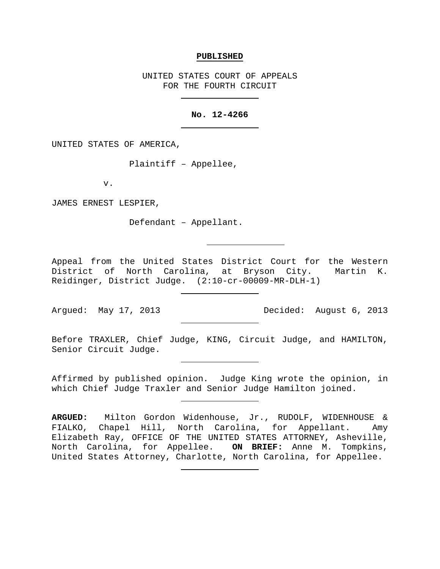#### **PUBLISHED**

UNITED STATES COURT OF APPEALS FOR THE FOURTH CIRCUIT

#### **No. 12-4266**

UNITED STATES OF AMERICA,

Plaintiff – Appellee,

v.

JAMES ERNEST LESPIER,

Defendant – Appellant.

Appeal from the United States District Court for the Western District of North Carolina, at Bryson City. Martin K. Reidinger, District Judge. (2:10-cr-00009-MR-DLH-1)

Argued: May 17, 2013 Decided: August 6, 2013

Before TRAXLER, Chief Judge, KING, Circuit Judge, and HAMILTON, Senior Circuit Judge.

Affirmed by published opinion. Judge King wrote the opinion, in which Chief Judge Traxler and Senior Judge Hamilton joined.

**ARGUED:** Milton Gordon Widenhouse, Jr., RUDOLF, WIDENHOUSE & FIALKO, Chapel Hill, North Carolina, for Appellant. Amy Elizabeth Ray, OFFICE OF THE UNITED STATES ATTORNEY, Asheville,<br>North Carolina, for Appellee. ON BRIEF: Anne M. Tompkins, North Carolina, for Appellee. United States Attorney, Charlotte, North Carolina, for Appellee.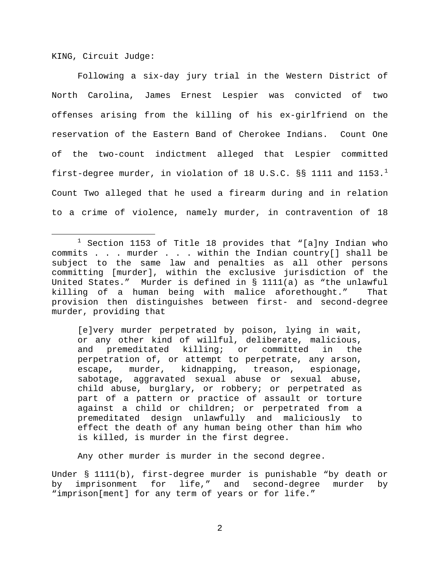KING, Circuit Judge:

Following a six-day jury trial in the Western District of North Carolina, James Ernest Lespier was convicted of two offenses arising from the killing of his ex-girlfriend on the reservation of the Eastern Band of Cherokee Indians. Count One of the two-count indictment alleged that Lespier committed first-degree murder, in violation of [1](#page-1-0)8 U.S.C. §§ 1111 and 1153.<sup>1</sup> Count Two alleged that he used a firearm during and in relation to a crime of violence, namely murder, in contravention of 18

[e]very murder perpetrated by poison, lying in wait, or any other kind of willful, deliberate, malicious, and premeditated killing; or committed in the perpetration of, or attempt to perpetrate, any arson, escape, murder, kidnapping, treason, espionage, sabotage, aggravated sexual abuse or sexual abuse, child abuse, burglary, or robbery; or perpetrated as part of a pattern or practice of assault or torture against a child or children; or perpetrated from a premeditated design unlawfully and maliciously to effect the death of any human being other than him who is killed, is murder in the first degree.

Any other murder is murder in the second degree.

Under § 1111(b), first-degree murder is punishable "by death or by imprisonment for life," and second-degree murder by "imprison[ment] for any term of years or for life."

<span id="page-1-0"></span> $1$  Section 1153 of Title 18 provides that "[a]ny Indian who commits . . . murder . . . within the Indian country[] shall be subject to the same law and penalties as all other persons committing [murder], within the exclusive jurisdiction of the United States." Murder is defined in § 1111(a) as "the unlawful killing of a human being with malice aforethought." provision then distinguishes between first- and second-degree murder, providing that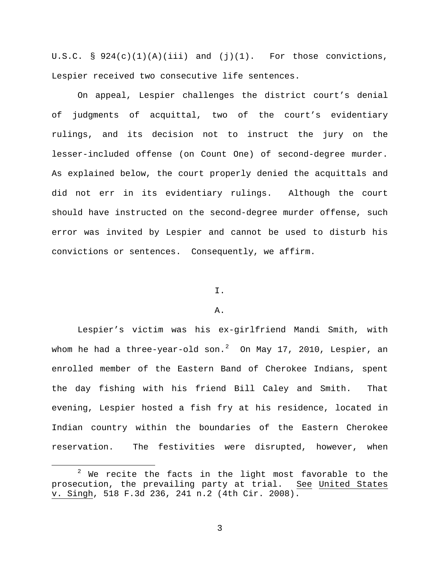U.S.C. §  $924(c)(1)(A)(iii)$  and  $(j)(1)$ . For those convictions, Lespier received two consecutive life sentences.

On appeal, Lespier challenges the district court's denial of judgments of acquittal, two of the court's evidentiary rulings, and its decision not to instruct the jury on the lesser-included offense (on Count One) of second-degree murder. As explained below, the court properly denied the acquittals and did not err in its evidentiary rulings. Although the court should have instructed on the second-degree murder offense, such error was invited by Lespier and cannot be used to disturb his convictions or sentences. Consequently, we affirm.

## I.

### A.

Lespier's victim was his ex-girlfriend Mandi Smith, with whom he had a three-year-old  $\text{son.}^2$  $\text{son.}^2$   $\,$  On May 17, 2010, Lespier, an enrolled member of the Eastern Band of Cherokee Indians, spent the day fishing with his friend Bill Caley and Smith. That evening, Lespier hosted a fish fry at his residence, located in Indian country within the boundaries of the Eastern Cherokee reservation. The festivities were disrupted, however, when

<span id="page-2-0"></span> $2$  We recite the facts in the light most favorable to the prosecution, the prevailing party at trial. See United States v. Singh, 518 F.3d 236, 241 n.2 (4th Cir. 2008).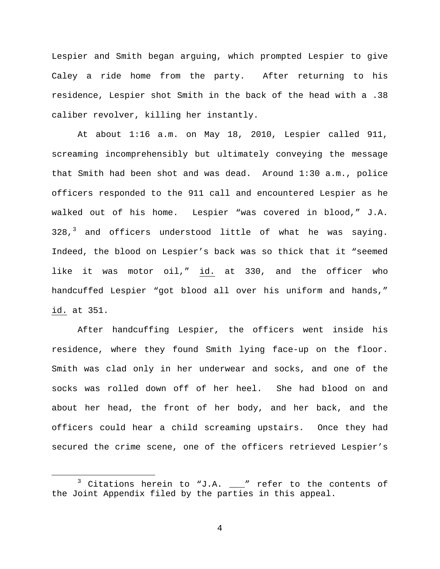Lespier and Smith began arguing, which prompted Lespier to give Caley a ride home from the party. After returning to his residence, Lespier shot Smith in the back of the head with a .38 caliber revolver, killing her instantly.

At about 1:16 a.m. on May 18, 2010, Lespier called 911, screaming incomprehensibly but ultimately conveying the message that Smith had been shot and was dead. Around 1:30 a.m., police officers responded to the 911 call and encountered Lespier as he walked out of his home. Lespier "was covered in blood," J.A.  $328<sup>3</sup>$  $328<sup>3</sup>$  and officers understood little of what he was saying. Indeed, the blood on Lespier's back was so thick that it "seemed like it was motor oil," id. at 330, and the officer who handcuffed Lespier "got blood all over his uniform and hands," id. at 351.

After handcuffing Lespier, the officers went inside his residence, where they found Smith lying face-up on the floor. Smith was clad only in her underwear and socks, and one of the socks was rolled down off of her heel. She had blood on and about her head, the front of her body, and her back, and the officers could hear a child screaming upstairs. Once they had secured the crime scene, one of the officers retrieved Lespier's

<span id="page-3-0"></span> $3$  Citations herein to "J.A.  $\_\!\_''$  refer to the contents of the Joint Appendix filed by the parties in this appeal.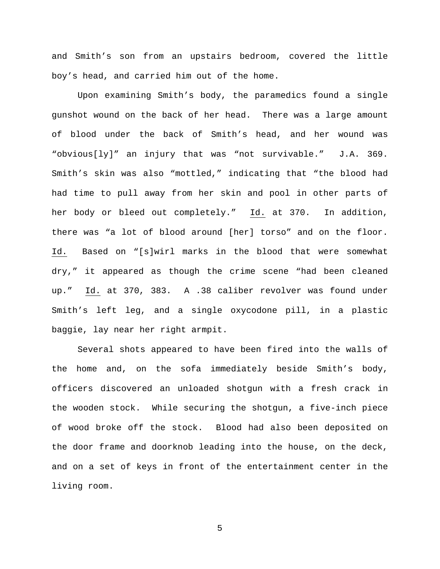and Smith's son from an upstairs bedroom, covered the little boy's head, and carried him out of the home.

Upon examining Smith's body, the paramedics found a single gunshot wound on the back of her head. There was a large amount of blood under the back of Smith's head, and her wound was "obvious[ly]" an injury that was "not survivable." J.A. 369. Smith's skin was also "mottled," indicating that "the blood had had time to pull away from her skin and pool in other parts of her body or bleed out completely." Id. at 370. In addition, there was "a lot of blood around [her] torso" and on the floor. Id. Based on "[s]wirl marks in the blood that were somewhat dry," it appeared as though the crime scene "had been cleaned up." Id. at 370, 383. A .38 caliber revolver was found under Smith's left leg, and a single oxycodone pill, in a plastic baggie, lay near her right armpit.

Several shots appeared to have been fired into the walls of the home and, on the sofa immediately beside Smith's body, officers discovered an unloaded shotgun with a fresh crack in the wooden stock. While securing the shotgun, a five-inch piece of wood broke off the stock. Blood had also been deposited on the door frame and doorknob leading into the house, on the deck, and on a set of keys in front of the entertainment center in the living room.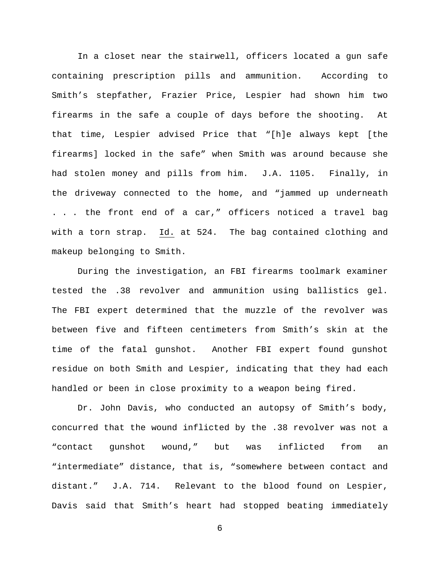In a closet near the stairwell, officers located a gun safe containing prescription pills and ammunition. According to Smith's stepfather, Frazier Price, Lespier had shown him two firearms in the safe a couple of days before the shooting. At that time, Lespier advised Price that "[h]e always kept [the firearms] locked in the safe" when Smith was around because she had stolen money and pills from him. J.A. 1105. Finally, in the driveway connected to the home, and "jammed up underneath . . . the front end of a car," officers noticed a travel bag with a torn strap. Id. at 524. The bag contained clothing and makeup belonging to Smith.

During the investigation, an FBI firearms toolmark examiner tested the .38 revolver and ammunition using ballistics gel. The FBI expert determined that the muzzle of the revolver was between five and fifteen centimeters from Smith's skin at the time of the fatal gunshot. Another FBI expert found gunshot residue on both Smith and Lespier, indicating that they had each handled or been in close proximity to a weapon being fired.

Dr. John Davis, who conducted an autopsy of Smith's body, concurred that the wound inflicted by the .38 revolver was not a "contact gunshot wound," but was inflicted from an "intermediate" distance, that is, "somewhere between contact and distant." J.A. 714. Relevant to the blood found on Lespier, Davis said that Smith's heart had stopped beating immediately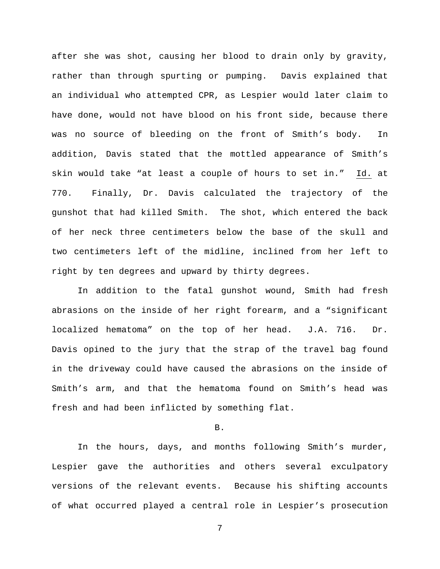after she was shot, causing her blood to drain only by gravity, rather than through spurting or pumping. Davis explained that an individual who attempted CPR, as Lespier would later claim to have done, would not have blood on his front side, because there was no source of bleeding on the front of Smith's body. In addition, Davis stated that the mottled appearance of Smith's skin would take "at least a couple of hours to set in." Id. at 770. Finally, Dr. Davis calculated the trajectory of the gunshot that had killed Smith. The shot, which entered the back of her neck three centimeters below the base of the skull and two centimeters left of the midline, inclined from her left to right by ten degrees and upward by thirty degrees.

In addition to the fatal gunshot wound, Smith had fresh abrasions on the inside of her right forearm, and a "significant localized hematoma" on the top of her head. J.A. 716. Dr. Davis opined to the jury that the strap of the travel bag found in the driveway could have caused the abrasions on the inside of Smith's arm, and that the hematoma found on Smith's head was fresh and had been inflicted by something flat.

B.

In the hours, days, and months following Smith's murder, Lespier gave the authorities and others several exculpatory versions of the relevant events. Because his shifting accounts of what occurred played a central role in Lespier's prosecution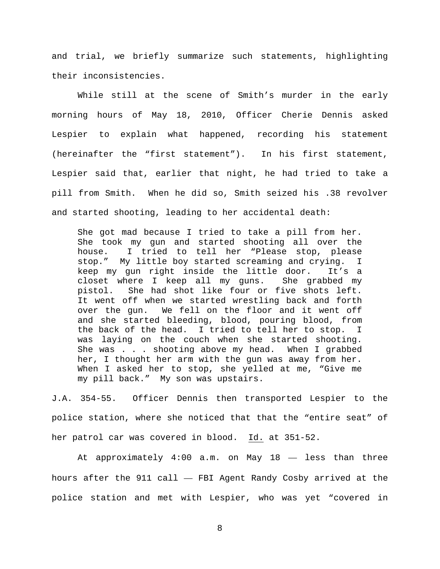and trial, we briefly summarize such statements, highlighting their inconsistencies.

While still at the scene of Smith's murder in the early morning hours of May 18, 2010, Officer Cherie Dennis asked Lespier to explain what happened, recording his statement (hereinafter the "first statement"). In his first statement, Lespier said that, earlier that night, he had tried to take a pill from Smith. When he did so, Smith seized his .38 revolver and started shooting, leading to her accidental death:

She got mad because I tried to take a pill from her. She took my gun and started shooting all over the house. I tried to tell her "Please stop, please stop." My little boy started screaming and crying. I keep my gun right inside the little door. It's a closet where I keep all my guns. She grabbed my pistol. She had shot like four or five shots left. It went off when we started wrestling back and forth over the gun. We fell on the floor and it went off and she started bleeding, blood, pouring blood, from the back of the head. I tried to tell her to stop. I was laying on the couch when she started shooting. She was . . . shooting above my head. When I grabbed her, I thought her arm with the gun was away from her. When I asked her to stop, she yelled at me, "Give me my pill back." My son was upstairs.

J.A. 354-55. Officer Dennis then transported Lespier to the police station, where she noticed that that the "entire seat" of her patrol car was covered in blood. Id. at 351-52.

At approximately 4:00 a.m. on May 18 — less than three hours after the 911 call — FBI Agent Randy Cosby arrived at the police station and met with Lespier, who was yet "covered in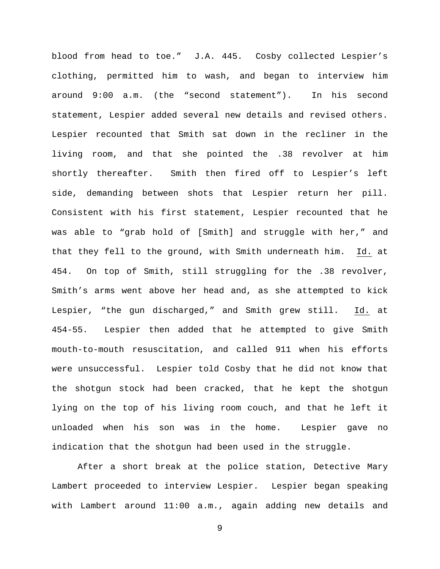blood from head to toe." J.A. 445. Cosby collected Lespier's clothing, permitted him to wash, and began to interview him around 9:00 a.m. (the "second statement"). In his second statement, Lespier added several new details and revised others. Lespier recounted that Smith sat down in the recliner in the living room, and that she pointed the .38 revolver at him shortly thereafter. Smith then fired off to Lespier's left side, demanding between shots that Lespier return her pill. Consistent with his first statement, Lespier recounted that he was able to "grab hold of [Smith] and struggle with her," and that they fell to the ground, with Smith underneath him. Id. at 454. On top of Smith, still struggling for the .38 revolver, Smith's arms went above her head and, as she attempted to kick Lespier, "the gun discharged," and Smith grew still. Id. at 454-55. Lespier then added that he attempted to give Smith mouth-to-mouth resuscitation, and called 911 when his efforts were unsuccessful. Lespier told Cosby that he did not know that the shotgun stock had been cracked, that he kept the shotgun lying on the top of his living room couch, and that he left it unloaded when his son was in the home. Lespier gave no indication that the shotgun had been used in the struggle.

After a short break at the police station, Detective Mary Lambert proceeded to interview Lespier. Lespier began speaking with Lambert around 11:00 a.m., again adding new details and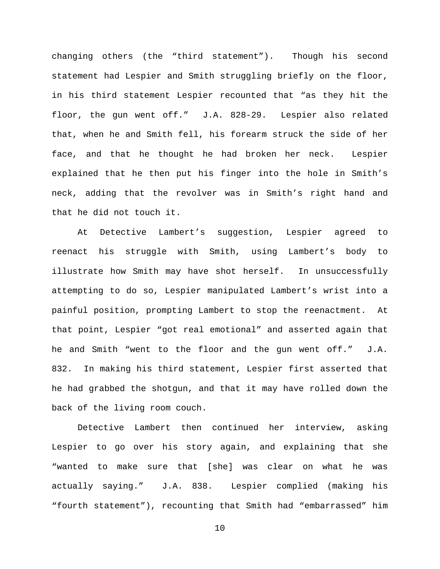changing others (the "third statement"). Though his second statement had Lespier and Smith struggling briefly on the floor, in his third statement Lespier recounted that "as they hit the floor, the gun went off." J.A. 828-29. Lespier also related that, when he and Smith fell, his forearm struck the side of her face, and that he thought he had broken her neck. Lespier explained that he then put his finger into the hole in Smith's neck, adding that the revolver was in Smith's right hand and that he did not touch it.

At Detective Lambert's suggestion, Lespier agreed to reenact his struggle with Smith, using Lambert's body to illustrate how Smith may have shot herself. In unsuccessfully attempting to do so, Lespier manipulated Lambert's wrist into a painful position, prompting Lambert to stop the reenactment. At that point, Lespier "got real emotional" and asserted again that he and Smith "went to the floor and the gun went off." J.A. 832. In making his third statement, Lespier first asserted that he had grabbed the shotgun, and that it may have rolled down the back of the living room couch.

Detective Lambert then continued her interview, asking Lespier to go over his story again, and explaining that she "wanted to make sure that [she] was clear on what he was actually saying." J.A. 838. Lespier complied (making his "fourth statement"), recounting that Smith had "embarrassed" him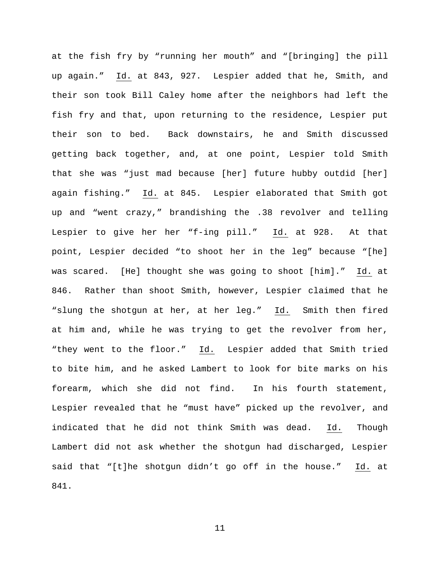at the fish fry by "running her mouth" and "[bringing] the pill up again." Id. at 843, 927. Lespier added that he, Smith, and their son took Bill Caley home after the neighbors had left the fish fry and that, upon returning to the residence, Lespier put their son to bed. Back downstairs, he and Smith discussed getting back together, and, at one point, Lespier told Smith that she was "just mad because [her] future hubby outdid [her] again fishing." Id. at 845. Lespier elaborated that Smith got up and "went crazy," brandishing the .38 revolver and telling Lespier to give her her "f-ing pill." Id. at 928. At that point, Lespier decided "to shoot her in the leg" because "[he] was scared. [He] thought she was going to shoot [him]." Id. at 846. Rather than shoot Smith, however, Lespier claimed that he "slung the shotgun at her, at her leg." Id. Smith then fired at him and, while he was trying to get the revolver from her, "they went to the floor." Id. Lespier added that Smith tried to bite him, and he asked Lambert to look for bite marks on his forearm, which she did not find. In his fourth statement, Lespier revealed that he "must have" picked up the revolver, and indicated that he did not think Smith was dead. Id. Though Lambert did not ask whether the shotgun had discharged, Lespier said that "[t]he shotgun didn't go off in the house." Id. at 841.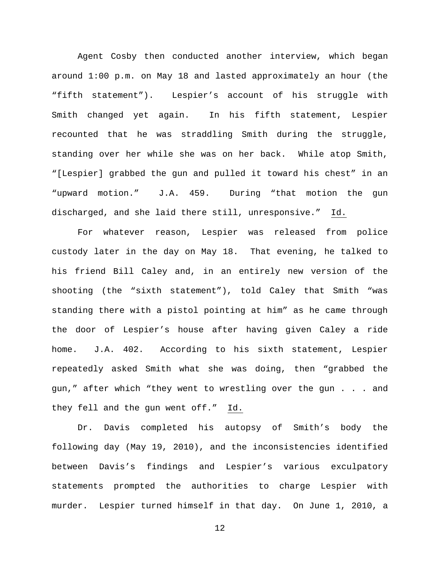Agent Cosby then conducted another interview, which began around 1:00 p.m. on May 18 and lasted approximately an hour (the "fifth statement"). Lespier's account of his struggle with Smith changed yet again. In his fifth statement, Lespier recounted that he was straddling Smith during the struggle, standing over her while she was on her back. While atop Smith, "[Lespier] grabbed the gun and pulled it toward his chest" in an "upward motion." J.A. 459. During "that motion the gun discharged, and she laid there still, unresponsive." Id.

For whatever reason, Lespier was released from police custody later in the day on May 18. That evening, he talked to his friend Bill Caley and, in an entirely new version of the shooting (the "sixth statement"), told Caley that Smith "was standing there with a pistol pointing at him" as he came through the door of Lespier's house after having given Caley a ride home. J.A. 402. According to his sixth statement, Lespier repeatedly asked Smith what she was doing, then "grabbed the gun," after which "they went to wrestling over the gun . . . and they fell and the gun went off." Id.

Dr. Davis completed his autopsy of Smith's body the following day (May 19, 2010), and the inconsistencies identified between Davis's findings and Lespier's various exculpatory statements prompted the authorities to charge Lespier with murder. Lespier turned himself in that day. On June 1, 2010, a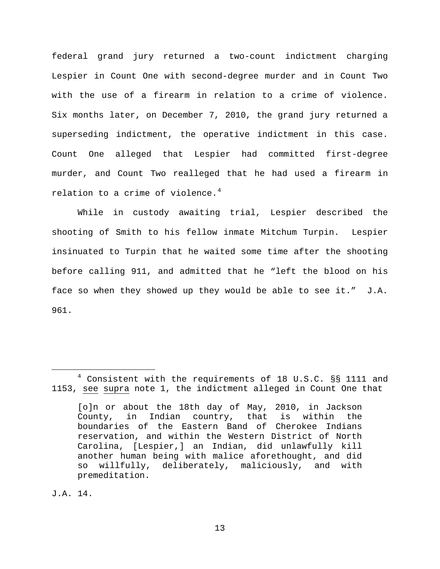federal grand jury returned a two-count indictment charging Lespier in Count One with second-degree murder and in Count Two with the use of a firearm in relation to a crime of violence. Six months later, on December 7, 2010, the grand jury returned a superseding indictment, the operative indictment in this case. Count One alleged that Lespier had committed first-degree murder, and Count Two realleged that he had used a firearm in relation to a crime of violence. $^4$  $^4$ 

While in custody awaiting trial, Lespier described the shooting of Smith to his fellow inmate Mitchum Turpin. Lespier insinuated to Turpin that he waited some time after the shooting before calling 911, and admitted that he "left the blood on his face so when they showed up they would be able to see it." J.A. 961.

J.A. 14.

<span id="page-12-0"></span><sup>&</sup>lt;sup>4</sup> Consistent with the requirements of 18 U.S.C. §§ 1111 and 1153, see supra note 1, the indictment alleged in Count One that

<sup>[</sup>o]n or about the 18th day of May, 2010, in Jackson County, in Indian country, that is within the boundaries of the Eastern Band of Cherokee Indians reservation, and within the Western District of North Carolina, [Lespier,] an Indian, did unlawfully kill another human being with malice aforethought, and did<br>so willfully, deliberately, maliciously, and with willfully, deliberately, maliciously, and with premeditation.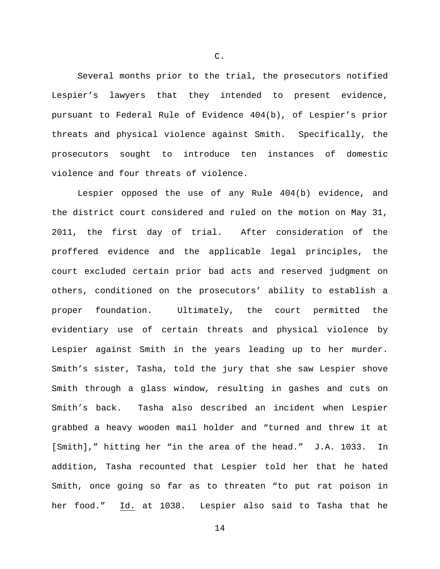Several months prior to the trial, the prosecutors notified Lespier's lawyers that they intended to present evidence, pursuant to Federal Rule of Evidence 404(b), of Lespier's prior threats and physical violence against Smith. Specifically, the prosecutors sought to introduce ten instances of domestic violence and four threats of violence.

Lespier opposed the use of any Rule 404(b) evidence, and the district court considered and ruled on the motion on May 31, 2011, the first day of trial. After consideration of the proffered evidence and the applicable legal principles, the court excluded certain prior bad acts and reserved judgment on others, conditioned on the prosecutors' ability to establish a proper foundation. Ultimately, the court permitted the evidentiary use of certain threats and physical violence by Lespier against Smith in the years leading up to her murder. Smith's sister, Tasha, told the jury that she saw Lespier shove Smith through a glass window, resulting in gashes and cuts on Smith's back. Tasha also described an incident when Lespier grabbed a heavy wooden mail holder and "turned and threw it at [Smith]," hitting her "in the area of the head." J.A. 1033. In addition, Tasha recounted that Lespier told her that he hated Smith, once going so far as to threaten "to put rat poison in her food." Id. at 1038. Lespier also said to Tasha that he

C.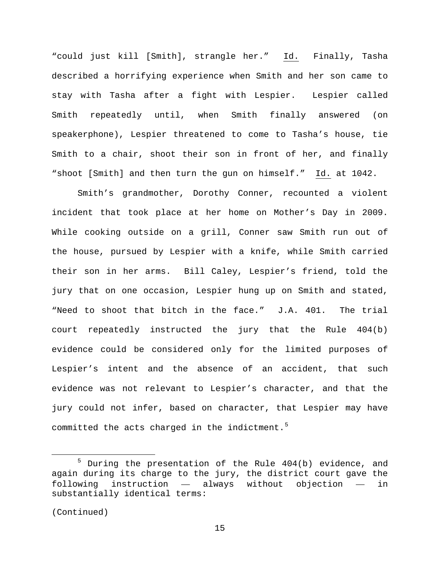"could just kill [Smith], strangle her." Id. Finally, Tasha described a horrifying experience when Smith and her son came to stay with Tasha after a fight with Lespier. Lespier called Smith repeatedly until, when Smith finally answered (on speakerphone), Lespier threatened to come to Tasha's house, tie Smith to a chair, shoot their son in front of her, and finally "shoot [Smith] and then turn the gun on himself." Id. at 1042.

Smith's grandmother, Dorothy Conner, recounted a violent incident that took place at her home on Mother's Day in 2009. While cooking outside on a grill, Conner saw Smith run out of the house, pursued by Lespier with a knife, while Smith carried their son in her arms. Bill Caley, Lespier's friend, told the jury that on one occasion, Lespier hung up on Smith and stated, "Need to shoot that bitch in the face." J.A. 401. The trial court repeatedly instructed the jury that the Rule 404(b) evidence could be considered only for the limited purposes of Lespier's intent and the absence of an accident, that such evidence was not relevant to Lespier's character, and that the jury could not infer, based on character, that Lespier may have committed the acts charged in the indictment.<sup>[5](#page-14-0)</sup>

```
(Continued)
```
<span id="page-14-0"></span> $5$  During the presentation of the Rule  $404(b)$  evidence, and again during its charge to the jury, the district court gave the following instruction — always without objection — in substantially identical terms: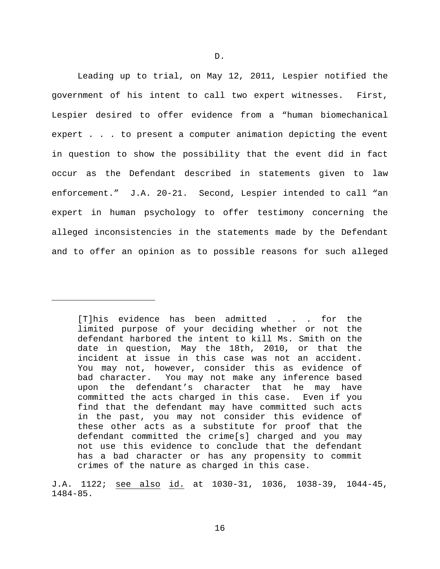Leading up to trial, on May 12, 2011, Lespier notified the government of his intent to call two expert witnesses. First, Lespier desired to offer evidence from a "human biomechanical expert . . . to present a computer animation depicting the event in question to show the possibility that the event did in fact occur as the Defendant described in statements given to law enforcement." J.A. 20-21. Second, Lespier intended to call "an expert in human psychology to offer testimony concerning the alleged inconsistencies in the statements made by the Defendant and to offer an opinion as to possible reasons for such alleged

Ĩ.

<sup>[</sup>T]his evidence has been admitted . . . for the limited purpose of your deciding whether or not the defendant harbored the intent to kill Ms. Smith on the date in question, May the 18th, 2010, or that the incident at issue in this case was not an accident. You may not, however, consider this as evidence of bad character. You may not make any inference based upon the defendant's character that he may have committed the acts charged in this case. Even if you find that the defendant may have committed such acts in the past, you may not consider this evidence of these other acts as a substitute for proof that the defendant committed the crime[s] charged and you may not use this evidence to conclude that the defendant has a bad character or has any propensity to commit crimes of the nature as charged in this case.

J.A. 1122; see also id. at 1030-31, 1036, 1038-39, 1044-45, 1484-85.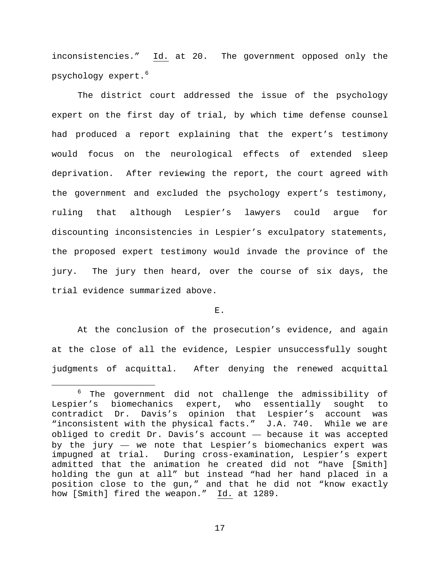inconsistencies." Id. at 20. The government opposed only the psychology expert.<sup>[6](#page-16-0)</sup>

The district court addressed the issue of the psychology expert on the first day of trial, by which time defense counsel had produced a report explaining that the expert's testimony would focus on the neurological effects of extended sleep deprivation. After reviewing the report, the court agreed with the government and excluded the psychology expert's testimony, ruling that although Lespier's lawyers could argue for discounting inconsistencies in Lespier's exculpatory statements, the proposed expert testimony would invade the province of the jury. The jury then heard, over the course of six days, the trial evidence summarized above.

# E.

At the conclusion of the prosecution's evidence, and again at the close of all the evidence, Lespier unsuccessfully sought judgments of acquittal. After denying the renewed acquittal

<span id="page-16-0"></span> $6$  The government did not challenge the admissibility of er's biomechanics expert, who essentially sought to Lespier's biomechanics expert, who essentially sought to contradict Dr. Davis's opinion that Lespier's account was "inconsistent with the physical facts." J.A. 740. While we are obliged to credit Dr. Davis's account — because it was accepted by the jury — we note that Lespier's biomechanics expert was impugned at trial. During cross-examination, Lespier's expert admitted that the animation he created did not "have [Smith] holding the gun at all" but instead "had her hand placed in a position close to the gun," and that he did not "know exactly how [Smith] fired the weapon." Id. at 1289.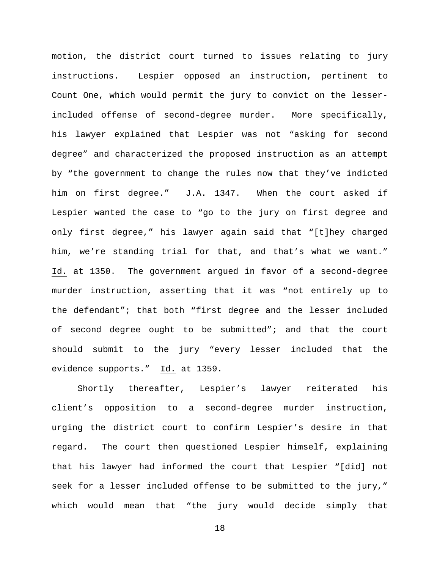motion, the district court turned to issues relating to jury instructions. Lespier opposed an instruction, pertinent to Count One, which would permit the jury to convict on the lesserincluded offense of second-degree murder. More specifically, his lawyer explained that Lespier was not "asking for second degree" and characterized the proposed instruction as an attempt by "the government to change the rules now that they've indicted him on first degree." J.A. 1347. When the court asked if Lespier wanted the case to "go to the jury on first degree and only first degree," his lawyer again said that "[t]hey charged him, we're standing trial for that, and that's what we want." Id. at 1350. The government argued in favor of a second-degree murder instruction, asserting that it was "not entirely up to the defendant"; that both "first degree and the lesser included of second degree ought to be submitted"; and that the court should submit to the jury "every lesser included that the evidence supports." Id. at 1359.

Shortly thereafter, Lespier's lawyer reiterated his client's opposition to a second-degree murder instruction, urging the district court to confirm Lespier's desire in that regard. The court then questioned Lespier himself, explaining that his lawyer had informed the court that Lespier "[did] not seek for a lesser included offense to be submitted to the jury," which would mean that "the jury would decide simply that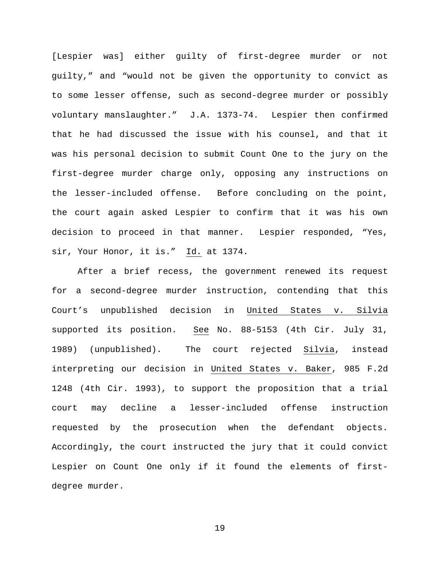[Lespier was] either guilty of first-degree murder or not guilty," and "would not be given the opportunity to convict as to some lesser offense, such as second-degree murder or possibly voluntary manslaughter." J.A. 1373-74. Lespier then confirmed that he had discussed the issue with his counsel, and that it was his personal decision to submit Count One to the jury on the first-degree murder charge only, opposing any instructions on the lesser-included offense. Before concluding on the point, the court again asked Lespier to confirm that it was his own decision to proceed in that manner. Lespier responded, "Yes, sir, Your Honor, it is." Id. at 1374.

After a brief recess, the government renewed its request for a second-degree murder instruction, contending that this Court's unpublished decision in United States v. Silvia supported its position. See No. 88-5153 (4th Cir. July 31, 1989) (unpublished). The court rejected Silvia, instead interpreting our decision in United States v. Baker, 985 F.2d 1248 (4th Cir. 1993), to support the proposition that a trial court may decline a lesser-included offense instruction requested by the prosecution when the defendant objects. Accordingly, the court instructed the jury that it could convict Lespier on Count One only if it found the elements of firstdegree murder.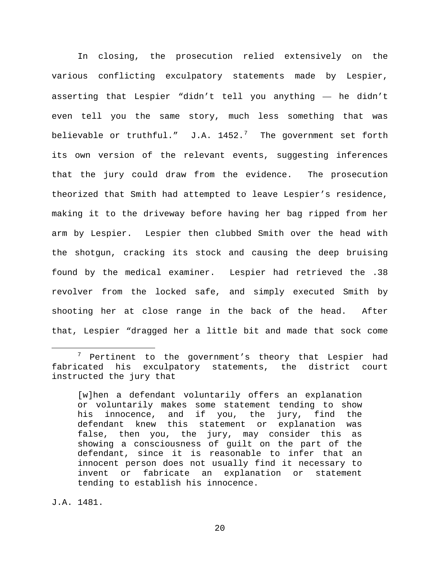In closing, the prosecution relied extensively on the various conflicting exculpatory statements made by Lespier, asserting that Lespier "didn't tell you anything — he didn't even tell you the same story, much less something that was believable or truthful."  $J.A. 1452.^7$  $J.A. 1452.^7$  The government set forth its own version of the relevant events, suggesting inferences that the jury could draw from the evidence. The prosecution theorized that Smith had attempted to leave Lespier's residence, making it to the driveway before having her bag ripped from her arm by Lespier. Lespier then clubbed Smith over the head with the shotgun, cracking its stock and causing the deep bruising found by the medical examiner. Lespier had retrieved the .38 revolver from the locked safe, and simply executed Smith by shooting her at close range in the back of the head. After that, Lespier "dragged her a little bit and made that sock come

J.A. 1481.

<span id="page-19-0"></span> $7$  Pertinent to the government's theory that Lespier had fabricated his exculpatory statements, the district court instructed the jury that

<sup>[</sup>w]hen a defendant voluntarily offers an explanation or voluntarily makes some statement tending to show his innocence, and if you, the jury, find the defendant knew this statement or explanation was false, then you, the jury, may consider this as showing a consciousness of guilt on the part of the defendant, since it is reasonable to infer that an innocent person does not usually find it necessary to invent or fabricate an explanation or statement tending to establish his innocence.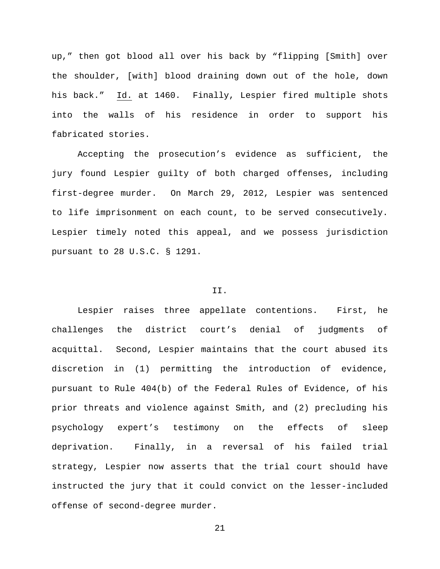up," then got blood all over his back by "flipping [Smith] over the shoulder, [with] blood draining down out of the hole, down his back." Id. at 1460. Finally, Lespier fired multiple shots into the walls of his residence in order to support his fabricated stories.

Accepting the prosecution's evidence as sufficient, the jury found Lespier guilty of both charged offenses, including first-degree murder. On March 29, 2012, Lespier was sentenced to life imprisonment on each count, to be served consecutively. Lespier timely noted this appeal, and we possess jurisdiction pursuant to 28 U.S.C. § 1291.

#### II.

Lespier raises three appellate contentions. First, he challenges the district court's denial of judgments of acquittal. Second, Lespier maintains that the court abused its discretion in (1) permitting the introduction of evidence, pursuant to Rule 404(b) of the Federal Rules of Evidence, of his prior threats and violence against Smith, and (2) precluding his psychology expert's testimony on the effects of sleep deprivation. Finally, in a reversal of his failed trial strategy, Lespier now asserts that the trial court should have instructed the jury that it could convict on the lesser-included offense of second-degree murder.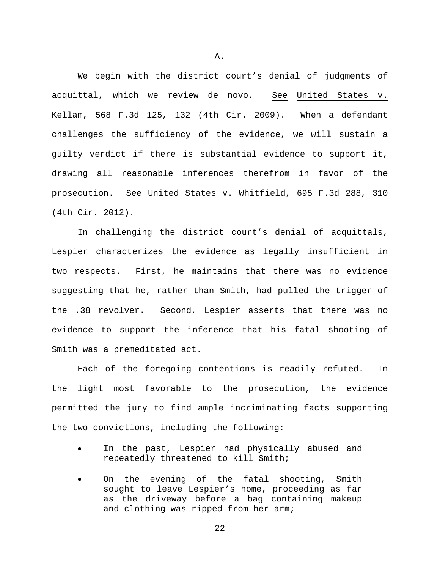We begin with the district court's denial of judgments of acquittal, which we review de novo. See United States v. Kellam, 568 F.3d 125, 132 (4th Cir. 2009). When a defendant challenges the sufficiency of the evidence, we will sustain a guilty verdict if there is substantial evidence to support it, drawing all reasonable inferences therefrom in favor of the prosecution. See United States v. Whitfield, 695 F.3d 288, 310 (4th Cir. 2012).

In challenging the district court's denial of acquittals, Lespier characterizes the evidence as legally insufficient in two respects. First, he maintains that there was no evidence suggesting that he, rather than Smith, had pulled the trigger of the .38 revolver. Second, Lespier asserts that there was no evidence to support the inference that his fatal shooting of Smith was a premeditated act.

Each of the foregoing contentions is readily refuted. In the light most favorable to the prosecution, the evidence permitted the jury to find ample incriminating facts supporting the two convictions, including the following:

- In the past, Lespier had physically abused and repeatedly threatened to kill Smith;
- On the evening of the fatal shooting, Smith sought to leave Lespier's home, proceeding as far as the driveway before a bag containing makeup and clothing was ripped from her arm;

A.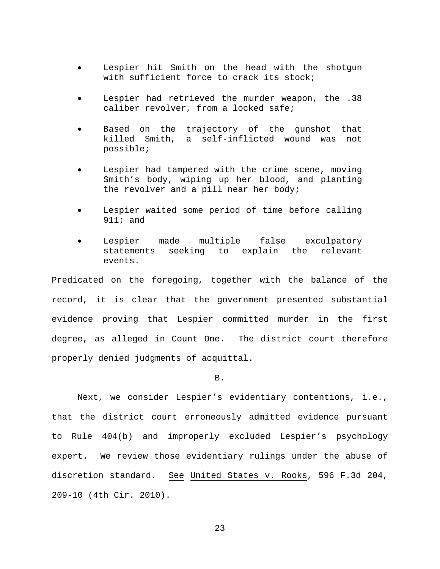- Lespier hit Smith on the head with the shotgun with sufficient force to crack its stock;
- Lespier had retrieved the murder weapon, the .38 caliber revolver, from a locked safe;
- Based on the trajectory of the gunshot that killed Smith, a self-inflicted wound was not possible;
- Lespier had tampered with the crime scene, moving Smith's body, wiping up her blood, and planting the revolver and a pill near her body;
- Lespier waited some period of time before calling 911; and
- Lespier made multiple false exculpatory statements seeking to explain the relevant events.

Predicated on the foregoing, together with the balance of the record, it is clear that the government presented substantial evidence proving that Lespier committed murder in the first degree, as alleged in Count One. The district court therefore properly denied judgments of acquittal.

B.

Next, we consider Lespier's evidentiary contentions, i.e., that the district court erroneously admitted evidence pursuant to Rule 404(b) and improperly excluded Lespier's psychology expert. We review those evidentiary rulings under the abuse of discretion standard. See United States v. Rooks, 596 F.3d 204, 209-10 (4th Cir. 2010).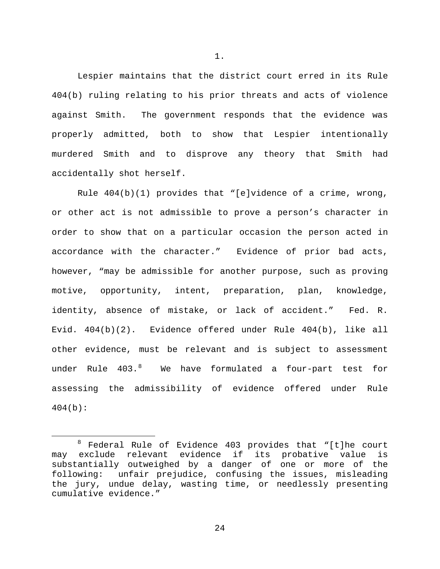Lespier maintains that the district court erred in its Rule 404(b) ruling relating to his prior threats and acts of violence against Smith. The government responds that the evidence was properly admitted, both to show that Lespier intentionally murdered Smith and to disprove any theory that Smith had accidentally shot herself.

Rule 404(b)(1) provides that "[e]vidence of a crime, wrong, or other act is not admissible to prove a person's character in order to show that on a particular occasion the person acted in accordance with the character." Evidence of prior bad acts, however, "may be admissible for another purpose, such as proving motive, opportunity, intent, preparation, plan, knowledge, identity, absence of mistake, or lack of accident." Fed. R. Evid. 404(b)(2). Evidence offered under Rule 404(b), like all other evidence, must be relevant and is subject to assessment under Rule 403. $^8$  $^8$  We have formulated a four-part test for assessing the admissibility of evidence offered under Rule  $404(b)$ :

1.

<span id="page-23-0"></span> $8$  Federal Rule of Evidence 403 provides that "[t]he court may exclude relevant evidence if its probative value is substantially outweighed by a danger of one or more of the following: unfair prejudice, confusing the issues, misleading the jury, undue delay, wasting time, or needlessly presenting cumulative evidence."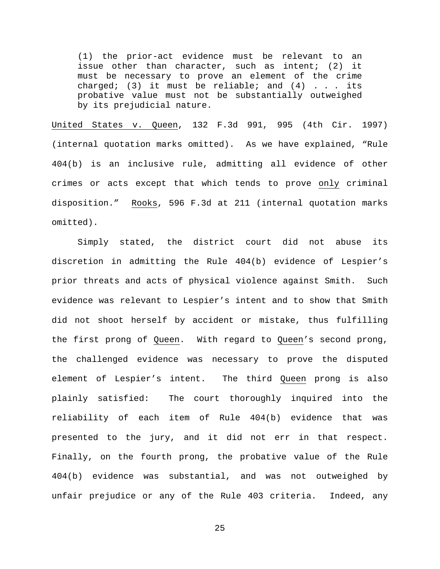(1) the prior-act evidence must be relevant to an issue other than character, such as intent; (2) it must be necessary to prove an element of the crime charged; (3) it must be reliable; and  $(4)$  . . . its probative value must not be substantially outweighed by its prejudicial nature.

United States v. Queen, 132 F.3d 991, 995 (4th Cir. 1997) (internal quotation marks omitted). As we have explained, "Rule 404(b) is an inclusive rule, admitting all evidence of other crimes or acts except that which tends to prove only criminal disposition." Rooks, 596 F.3d at 211 (internal quotation marks omitted).

Simply stated, the district court did not abuse its discretion in admitting the Rule 404(b) evidence of Lespier's prior threats and acts of physical violence against Smith. Such evidence was relevant to Lespier's intent and to show that Smith did not shoot herself by accident or mistake, thus fulfilling the first prong of Queen. With regard to Queen's second prong, the challenged evidence was necessary to prove the disputed element of Lespier's intent. The third Queen prong is also plainly satisfied: The court thoroughly inquired into the reliability of each item of Rule 404(b) evidence that was presented to the jury, and it did not err in that respect. Finally, on the fourth prong, the probative value of the Rule 404(b) evidence was substantial, and was not outweighed by unfair prejudice or any of the Rule 403 criteria. Indeed, any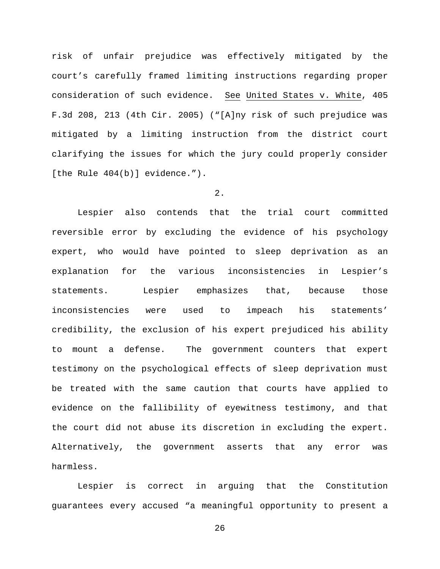risk of unfair prejudice was effectively mitigated by the court's carefully framed limiting instructions regarding proper consideration of such evidence. See United States v. White, 405 F.3d 208, 213 (4th Cir. 2005) ("[A]ny risk of such prejudice was mitigated by a limiting instruction from the district court clarifying the issues for which the jury could properly consider [the Rule 404(b)] evidence.").

# 2.

Lespier also contends that the trial court committed reversible error by excluding the evidence of his psychology expert, who would have pointed to sleep deprivation as an explanation for the various inconsistencies in Lespier's statements. Lespier emphasizes that, because those inconsistencies were used to impeach his statements' credibility, the exclusion of his expert prejudiced his ability to mount a defense. The government counters that expert testimony on the psychological effects of sleep deprivation must be treated with the same caution that courts have applied to evidence on the fallibility of eyewitness testimony, and that the court did not abuse its discretion in excluding the expert. Alternatively, the government asserts that any error was harmless.

Lespier is correct in arguing that the Constitution guarantees every accused "a meaningful opportunity to present a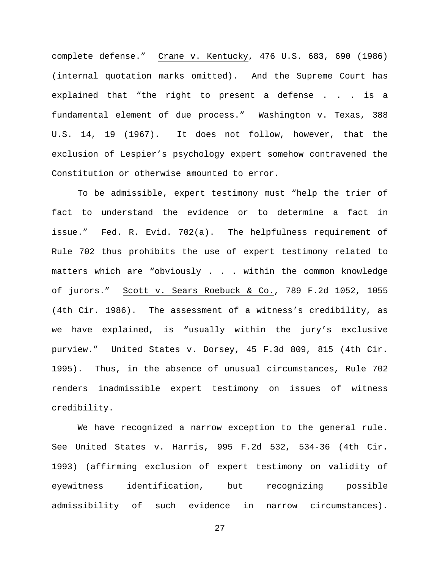complete defense." Crane v. Kentucky, 476 U.S. 683, 690 (1986) (internal quotation marks omitted). And the Supreme Court has explained that "the right to present a defense . . . is a fundamental element of due process." Washington v. Texas, 388 U.S. 14, 19 (1967). It does not follow, however, that the exclusion of Lespier's psychology expert somehow contravened the Constitution or otherwise amounted to error.

To be admissible, expert testimony must "help the trier of fact to understand the evidence or to determine a fact in issue." Fed. R. Evid. 702(a). The helpfulness requirement of Rule 702 thus prohibits the use of expert testimony related to matters which are "obviously . . . within the common knowledge of jurors." Scott v. Sears Roebuck & Co., 789 F.2d 1052, 1055 (4th Cir. 1986). The assessment of a witness's credibility, as we have explained, is "usually within the jury's exclusive purview." United States v. Dorsey, 45 F.3d 809, 815 (4th Cir. 1995). Thus, in the absence of unusual circumstances, Rule 702 renders inadmissible expert testimony on issues of witness credibility.

We have recognized a narrow exception to the general rule. See United States v. Harris, 995 F.2d 532, 534-36 (4th Cir. 1993) (affirming exclusion of expert testimony on validity of eyewitness identification, but recognizing possible admissibility of such evidence in narrow circumstances).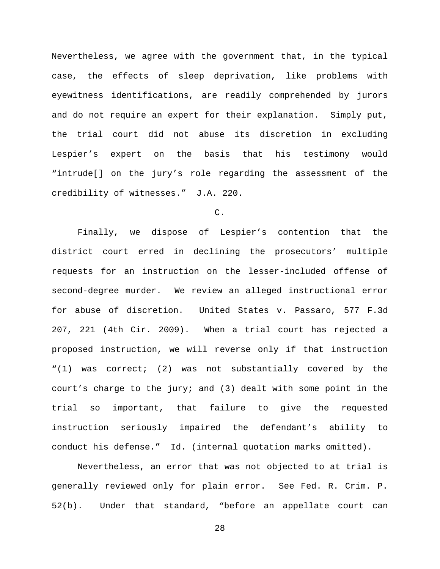Nevertheless, we agree with the government that, in the typical case, the effects of sleep deprivation, like problems with eyewitness identifications, are readily comprehended by jurors and do not require an expert for their explanation. Simply put, the trial court did not abuse its discretion in excluding Lespier's expert on the basis that his testimony would "intrude[] on the jury's role regarding the assessment of the credibility of witnesses." J.A. 220.

### C.

Finally, we dispose of Lespier's contention that the district court erred in declining the prosecutors' multiple requests for an instruction on the lesser-included offense of second-degree murder. We review an alleged instructional error for abuse of discretion. United States v. Passaro, 577 F.3d 207, 221 (4th Cir. 2009). When a trial court has rejected a proposed instruction, we will reverse only if that instruction "(1) was correct; (2) was not substantially covered by the court's charge to the jury; and (3) dealt with some point in the trial so important, that failure to give the requested instruction seriously impaired the defendant's ability to conduct his defense." Id. (internal quotation marks omitted).

Nevertheless, an error that was not objected to at trial is generally reviewed only for plain error. See Fed. R. Crim. P. 52(b). Under that standard, "before an appellate court can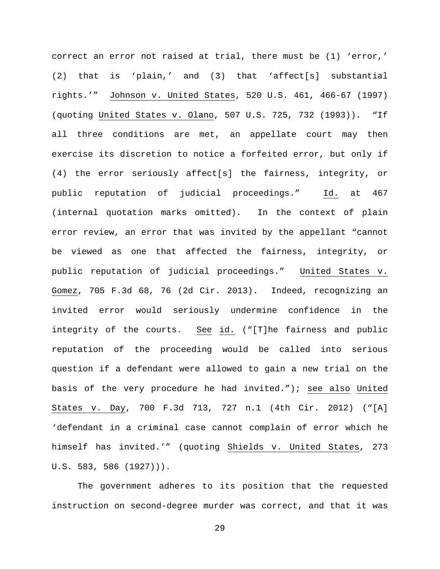correct an error not raised at trial, there must be (1) 'error,' (2) that is 'plain,' and (3) that 'affect[s] substantial rights.'" Johnson v. United States, 520 U.S. 461, 466-67 (1997) (quoting United States v. Olano, 507 U.S. 725, 732 (1993)). "If all three conditions are met, an appellate court may then exercise its discretion to notice a forfeited error, but only if (4) the error seriously affect[s] the fairness, integrity, or public reputation of judicial proceedings." Id. at 467 (internal quotation marks omitted). In the context of plain error review, an error that was invited by the appellant "cannot be viewed as one that affected the fairness, integrity, or public reputation of judicial proceedings." United States v. Gomez, 705 F.3d 68, 76 (2d Cir. 2013). Indeed, recognizing an invited error would seriously undermine confidence in the integrity of the courts. See id. ("[T]he fairness and public reputation of the proceeding would be called into serious question if a defendant were allowed to gain a new trial on the basis of the very procedure he had invited."); see also United States v. Day, 700 F.3d 713, 727 n.1 (4th Cir. 2012) ("[A] 'defendant in a criminal case cannot complain of error which he himself has invited.'" (quoting Shields v. United States, 273 U.S. 583, 586 (1927))).

The government adheres to its position that the requested instruction on second-degree murder was correct, and that it was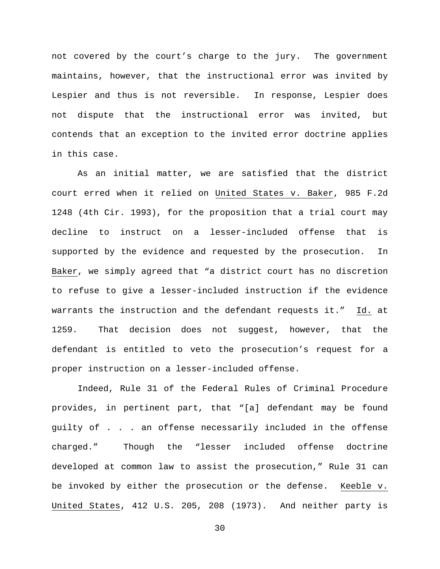not covered by the court's charge to the jury. The government maintains, however, that the instructional error was invited by Lespier and thus is not reversible. In response, Lespier does not dispute that the instructional error was invited, but contends that an exception to the invited error doctrine applies in this case.

As an initial matter, we are satisfied that the district court erred when it relied on United States v. Baker, 985 F.2d 1248 (4th Cir. 1993), for the proposition that a trial court may decline to instruct on a lesser-included offense that is supported by the evidence and requested by the prosecution. In Baker, we simply agreed that "a district court has no discretion to refuse to give a lesser-included instruction if the evidence warrants the instruction and the defendant requests it." Id. at 1259. That decision does not suggest, however, that the defendant is entitled to veto the prosecution's request for a proper instruction on a lesser-included offense.

Indeed, Rule 31 of the Federal Rules of Criminal Procedure provides, in pertinent part, that "[a] defendant may be found guilty of . . . an offense necessarily included in the offense charged." Though the "lesser included offense doctrine developed at common law to assist the prosecution," Rule 31 can be invoked by either the prosecution or the defense. Keeble v. United States, 412 U.S. 205, 208 (1973). And neither party is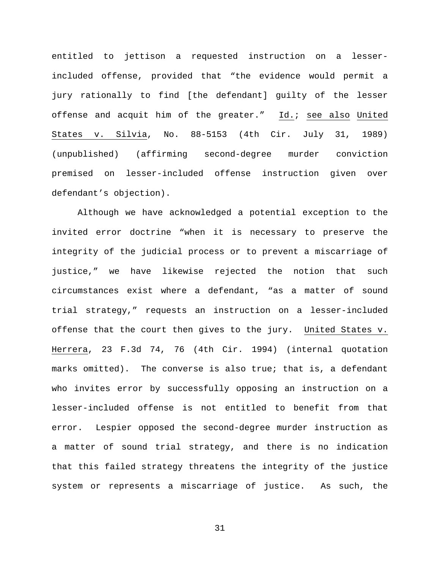entitled to jettison a requested instruction on a lesserincluded offense, provided that "the evidence would permit a jury rationally to find [the defendant] guilty of the lesser offense and acquit him of the greater." Id.; see also United States v. Silvia, No. 88-5153 (4th Cir. July 31, 1989) (unpublished) (affirming second-degree murder conviction premised on lesser-included offense instruction given over defendant's objection).

Although we have acknowledged a potential exception to the invited error doctrine "when it is necessary to preserve the integrity of the judicial process or to prevent a miscarriage of justice," we have likewise rejected the notion that such circumstances exist where a defendant, "as a matter of sound trial strategy," requests an instruction on a lesser-included offense that the court then gives to the jury. United States v. Herrera, 23 F.3d 74, 76 (4th Cir. 1994) (internal quotation marks omitted). The converse is also true; that is, a defendant who invites error by successfully opposing an instruction on a lesser-included offense is not entitled to benefit from that error. Lespier opposed the second-degree murder instruction as a matter of sound trial strategy, and there is no indication that this failed strategy threatens the integrity of the justice system or represents a miscarriage of justice. As such, the